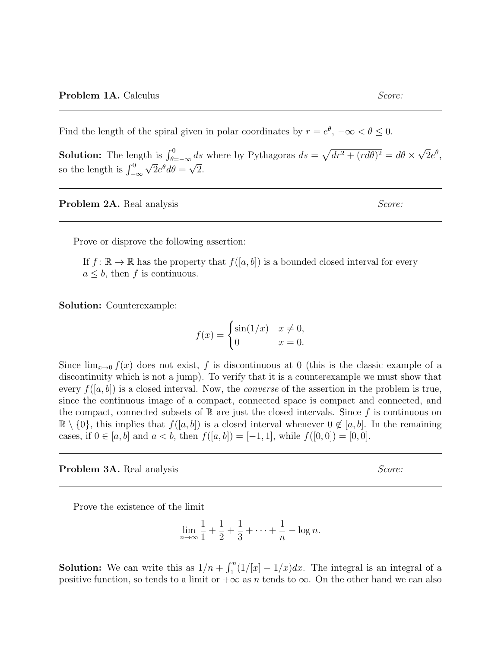Find the length of the spiral given in polar coordinates by  $r = e^{\theta}$ ,  $-\infty < \theta \leq 0$ .

**Solution:** The length is  $\int_{\theta=-\infty}^{0} ds$  where by Pythagoras  $ds = \sqrt{dr^2 + (rd\theta)^2} = d\theta \times$ √ th is  $\int_{\theta=-\infty}^{0} ds$  where by Pythagoras  $ds = \sqrt{dr^2 + (rd\theta)^2} = d\theta \times \sqrt{2}e^{\theta}$ , so the length is  $\int_{-\infty}^{0} \sqrt{2}e^{\theta} d\theta = \sqrt{2}$ .

**Problem 2A.** Real analysis Score:

Prove or disprove the following assertion:

If  $f: \mathbb{R} \to \mathbb{R}$  has the property that  $f([a, b])$  is a bounded closed interval for every  $a \leq b$ , then f is continuous.

Solution: Counterexample:

$$
f(x) = \begin{cases} \sin(1/x) & x \neq 0, \\ 0 & x = 0. \end{cases}
$$

Since  $\lim_{x\to 0} f(x)$  does not exist, f is discontinuous at 0 (this is the classic example of a discontinuity which is not a jump). To verify that it is a counterexample we must show that every  $f([a, b])$  is a closed interval. Now, the *converse* of the assertion in the problem is true, since the continuous image of a compact, connected space is compact and connected, and the compact, connected subsets of  $\mathbb R$  are just the closed intervals. Since f is continuous on  $\mathbb{R} \setminus \{0\}$ , this implies that  $f([a, b])$  is a closed interval whenever  $0 \notin [a, b]$ . In the remaining cases, if  $0 \in [a, b]$  and  $a < b$ , then  $f([a, b]) = [-1, 1]$ , while  $f([0, 0]) = [0, 0]$ .

**Problem 3A.** Real analysis Score:

Prove the existence of the limit

$$
\lim_{n \to \infty} \frac{1}{1} + \frac{1}{2} + \frac{1}{3} + \dots + \frac{1}{n} - \log n.
$$

**Solution:** We can write this as  $1/n + \int_1^n (1/(x) - 1/x) dx$ . The integral is an integral of a positive function, so tends to a limit or  $+\infty$  as n tends to  $\infty$ . On the other hand we can also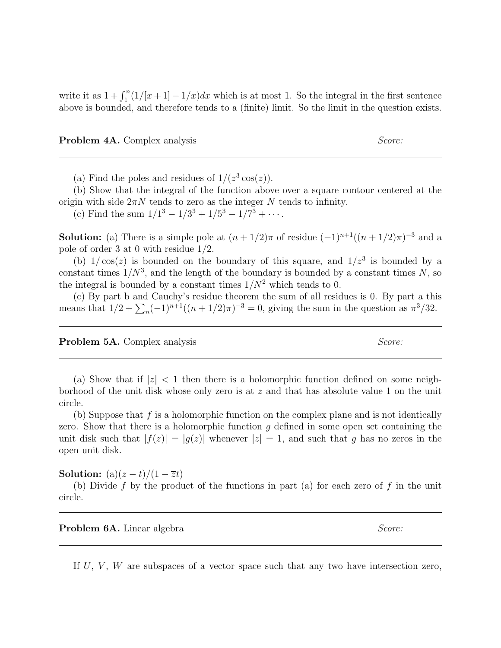write it as  $1 + \int_1^n (1/(x+1) - 1/x) dx$  which is at most 1. So the integral in the first sentence above is bounded, and therefore tends to a (finite) limit. So the limit in the question exists.

**Problem 4A.** Complex analysis Score: Score: Score: Score: Score: Score: Score: Score: Score: Score: Score: Score: Score: Score: Score: Score: Score: Score: Score: Score: Score: Score: Score: Score: Score: Score: Score: Sc

(a) Find the poles and residues of  $1/(z^3 \cos(z))$ .

(b) Show that the integral of the function above over a square contour centered at the origin with side  $2\pi N$  tends to zero as the integer N tends to infinity.

(c) Find the sum  $1/1^3 - 1/3^3 + 1/5^3 - 1/7^3 + \cdots$ .

**Solution:** (a) There is a simple pole at  $(n+1/2)\pi$  of residue  $(-1)^{n+1}((n+1/2)\pi)^{-3}$  and a pole of order 3 at 0 with residue 1/2.

(b)  $1/\cos(z)$  is bounded on the boundary of this square, and  $1/z^3$  is bounded by a constant times  $1/N^3$ , and the length of the boundary is bounded by a constant times N, so the integral is bounded by a constant times  $1/N^2$  which tends to 0.

(c) By part b and Cauchy's residue theorem the sum of all residues is 0. By part a this means that  $1/2 + \sum_{n} (-1)^{n+1} ((n+1/2)\pi)^{-3} = 0$ , giving the sum in the question as  $\pi^3/32$ .

**Problem 5A.** Complex analysis Score: Score: Score: Score: Score: Score: Score: Score: Score: Score: Score: Score: Score: Score: Score: Score: Score: Score: Score: Score: Score: Score: Score: Score: Score: Score: Score: Sc

(a) Show that if  $|z| < 1$  then there is a holomorphic function defined on some neighborhood of the unit disk whose only zero is at z and that has absolute value 1 on the unit circle.

(b) Suppose that  $f$  is a holomorphic function on the complex plane and is not identically zero. Show that there is a holomorphic function  $q$  defined in some open set containing the unit disk such that  $|f(z)| = |g(z)|$  whenever  $|z| = 1$ , and such that g has no zeros in the open unit disk.

Solution:  $(a)(z-t)/(1-\overline{z}t)$ 

(b) Divide f by the product of the functions in part (a) for each zero of f in the unit circle.

**Problem 6A.** Linear algebra  $Score:$ 

If  $U, V, W$  are subspaces of a vector space such that any two have intersection zero,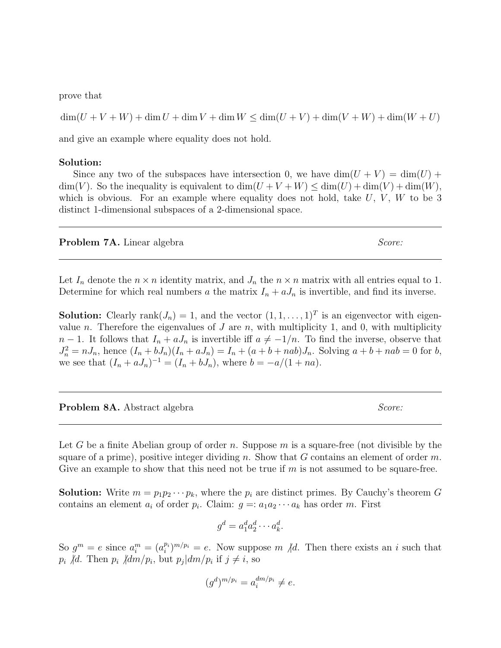prove that

 $\dim(U + V + W) + \dim U + \dim W + \dim W \leq \dim(U + V) + \dim(V + W) + \dim(W + U)$ 

and give an example where equality does not hold.

## Solution:

Since any two of the subspaces have intersection 0, we have  $\dim(U+V) = \dim(U) +$  $\dim(V)$ . So the inequality is equivalent to  $\dim(U+V+W) \leq \dim(U) + \dim(V) + \dim(W)$ , which is obvious. For an example where equality does not hold, take  $U, V, W$  to be 3 distinct 1-dimensional subspaces of a 2-dimensional space.

**Problem 7A.** Linear algebra  $Score:$ 

Let  $I_n$  denote the  $n \times n$  identity matrix, and  $J_n$  the  $n \times n$  matrix with all entries equal to 1. Determine for which real numbers a the matrix  $I_n + aJ_n$  is invertible, and find its inverse.

**Solution:** Clearly rank $(J_n) = 1$ , and the vector  $(1, 1, \ldots, 1)^T$  is an eigenvector with eigenvalue n. Therefore the eigenvalues of  $J$  are n, with multiplicity 1, and 0, with multiplicity  $n-1$ . It follows that  $I_n + aJ_n$  is invertible iff  $a \neq -1/n$ . To find the inverse, observe that  $J_n^2 = nJ_n$ , hence  $(I_n + bJ_n)(I_n + aJ_n) = I_n + (a + b + nab)J_n$ . Solving  $a + b + nab = 0$  for  $b$ , we see that  $(I_n + aJ_n)^{-1} = (I_n + bJ_n)$ , where  $b = -a/(1 + na)$ .

| Problem 8A. Abstract algebra | Score: |
|------------------------------|--------|
|                              |        |

Let G be a finite Abelian group of order n. Suppose m is a square-free (not divisible by the square of a prime), positive integer dividing n. Show that G contains an element of order m. Give an example to show that this need not be true if  $m$  is not assumed to be square-free.

**Solution:** Write  $m = p_1 p_2 \cdots p_k$ , where the  $p_i$  are distinct primes. By Cauchy's theorem G contains an element  $a_i$  of order  $p_i$ . Claim:  $g = a_1 a_2 \cdots a_k$  has order m. First

$$
g^d = a_1^d a_2^d \cdots a_k^d.
$$

So  $g^m = e$  since  $a_i^m = (a_i^{p_i})^{m/p_i} = e$ . Now suppose m  $/d$ . Then there exists an i such that  $p_i$  /d. Then  $p_i$  /dm/ $p_i$ , but  $p_j | dm/p_i$  if  $j \neq i$ , so

$$
(g^d)^{m/p_i} = a_i^{dm/p_i} \neq e.
$$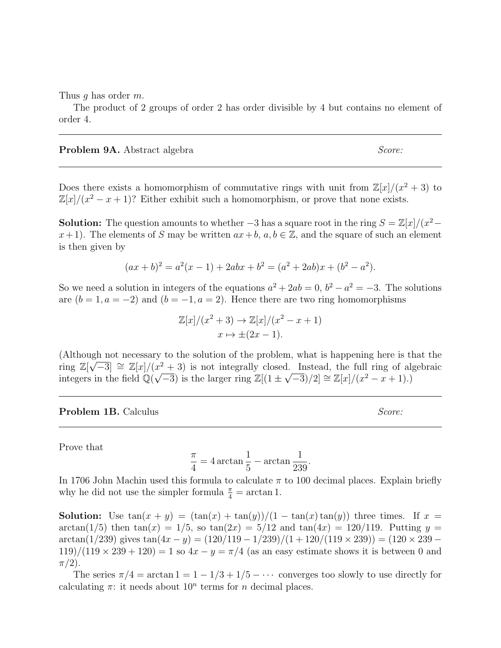Thus q has order m.

The product of 2 groups of order 2 has order divisible by 4 but contains no element of order 4.

**Problem 9A.** Abstract algebra  $Score:$ 

Does there exists a homomorphism of commutative rings with unit from  $\mathbb{Z}[x]/(x^2+3)$  to  $\mathbb{Z}[x]/(x^2 - x + 1)$ ? Either exhibit such a homomorphism, or prove that none exists.

**Solution:** The question amounts to whether  $-3$  has a square root in the ring  $S = \mathbb{Z}[x]/(x^2$  $x+1$ . The elements of S may be written  $ax+b$ ,  $a, b \in \mathbb{Z}$ , and the square of such an element is then given by

$$
(ax+b)^2 = a^2(x-1) + 2abx + b^2 = (a^2 + 2ab)x + (b^2 - a^2).
$$

So we need a solution in integers of the equations  $a^2 + 2ab = 0$ ,  $b^2 - a^2 = -3$ . The solutions are  $(b = 1, a = -2)$  and  $(b = -1, a = 2)$ . Hence there are two ring homomorphisms

$$
\mathbb{Z}[x]/(x^2+3) \to \mathbb{Z}[x]/(x^2-x+1)
$$

$$
x \mapsto \pm (2x-1).
$$

(Although not necessary to the solution of the problem, what is happening here is that the ring  $\mathbb{Z}[\sqrt{-3}] \cong \mathbb{Z}[x]/(x^2 + 3)$  is not integrally closed. Instead, the full ring of algebraic integers in the field  $\mathbb{Q}(\sqrt{-3})$  is the larger ring  $\mathbb{Z}[(1 \pm \sqrt{-3})/2] \cong \mathbb{Z}[x]/(x^2 - x + 1)$ .)

**Problem 1B.** Calculus Score: Score: Score: Score: Score: Score: Score: Score: Score: Score: Score: Score: Score: Score: Score: Score: Score: Score: Score: Score: Score: Score: Score: Score: Score: Score: Score: Score: Sco

Prove that

$$
\frac{\pi}{4} = 4 \arctan \frac{1}{5} - \arctan \frac{1}{239}
$$

.

In 1706 John Machin used this formula to calculate  $\pi$  to 100 decimal places. Explain briefly why he did not use the simpler formula  $\frac{\pi}{4} = \arctan 1$ .

**Solution:** Use  $tan(x + y) = (tan(x) + tan(y))/(1 - tan(x)tan(y))$  three times. If  $x =$  $\arctan(1/5)$  then  $\tan(x) = 1/5$ , so  $\tan(2x) = 5/12$  and  $\tan(4x) = 120/119$ . Putting  $y =$  $\arctan(1/239)$  gives  $\tan(4x - y) = (120/119 - 1/239)/(1 + 120/(119 \times 239)) = (120 \times 239 - 120)$  $119)/(119 \times 239 + 120) = 1$  so  $4x - y = \pi/4$  (as an easy estimate shows it is between 0 and  $\pi/2$ ).

The series  $\pi/4 = \arctan 1 = 1 - 1/3 + 1/5 - \cdots$  converges too slowly to use directly for calculating  $\pi$ : it needs about  $10^n$  terms for *n* decimal places.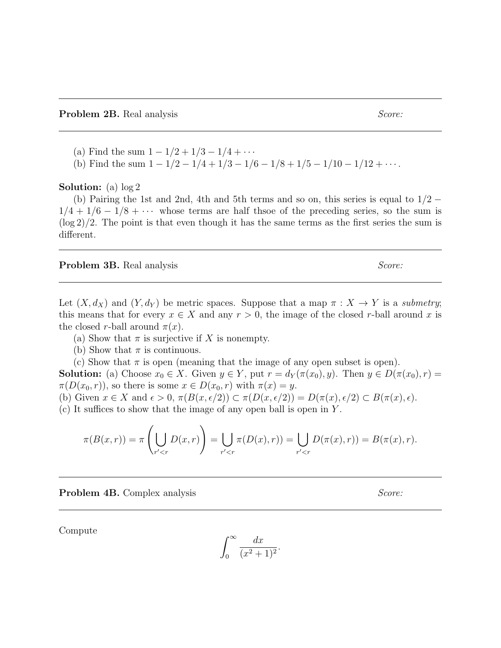- (a) Find the sum  $1 1/2 + 1/3 1/4 + \cdots$
- (b) Find the sum  $1 1/2 1/4 + 1/3 1/6 1/8 + 1/5 1/10 1/12 + \cdots$ .

Solution: (a) log 2

(b) Pairing the 1st and 2nd, 4th and 5th terms and so on, this series is equal to  $1/2 1/4 + 1/6 - 1/8 + \cdots$  whose terms are half thsoe of the preceding series, so the sum is  $(\log 2)/2$ . The point is that even though it has the same terms as the first series the sum is different.

## **Problem 3B.** Real analysis Score: Score: Score: Score: Score: Score: Score: Score: Score: Score: Score: Score: Score: Score: Score: Score: Score: Score: Score: Score: Score: Score: Score: Score: Score: Score: Score: Score

Let  $(X, d_X)$  and  $(Y, d_Y)$  be metric spaces. Suppose that a map  $\pi : X \to Y$  is a submetry; this means that for every  $x \in X$  and any  $r > 0$ , the image of the closed r-ball around x is the closed r-ball around  $\pi(x)$ .

- (a) Show that  $\pi$  is surjective if X is nonempty.
- (b) Show that  $\pi$  is continuous.

(c) Show that  $\pi$  is open (meaning that the image of any open subset is open). **Solution:** (a) Choose  $x_0 \in X$ . Given  $y \in Y$ , put  $r = d_Y(\pi(x_0), y)$ . Then  $y \in D(\pi(x_0), r)$  $\pi(D(x_0, r))$ , so there is some  $x \in D(x_0, r)$  with  $\pi(x) = y$ . (b) Given  $x \in X$  and  $\epsilon > 0$ ,  $\pi(B(x, \epsilon/2)) \subset \pi(D(x, \epsilon/2)) = D(\pi(x), \epsilon/2) \subset B(\pi(x), \epsilon)$ .

(c) It suffices to show that the image of any open ball is open in Y .

$$
\pi(B(x,r)) = \pi\left(\bigcup_{r' < r} D(x,r)\right) = \bigcup_{r' < r} \pi(D(x),r)) = \bigcup_{r' < r} D(\pi(x),r)) = B(\pi(x),r).
$$

**Problem 4B.** Complex analysis Score: Score: Score: Score: Score: Score: Score: Score: Score: Score: Score: Score: Score: Score: Score: Score: Score: Score: Score: Score: Score: Score: Score: Score: Score: Score: Score: Sc

Compute

$$
\int_0^\infty \frac{dx}{(x^2+1)^2}
$$

.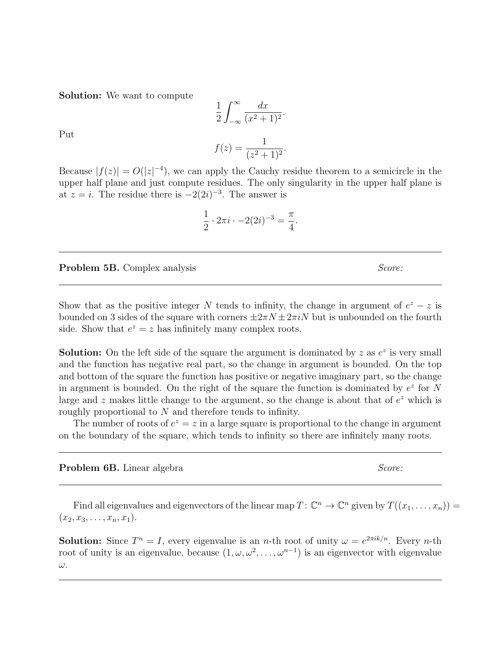Solution: We want to compute

$$
\frac{1}{2} \int_{-\infty}^{\infty} \frac{dx}{(x^2 + 1)^2}.
$$

$$
f(z) = \frac{1}{(z^2 + 1)^2}.
$$

Put

Because  $|f(z)| = O(|z|^{-4})$ , we can apply the Cauchy residue theorem to a semicircle in the upper half plane and just compute residues. The only singularity in the upper half plane is at  $z = i$ . The residue there is  $-2(2i)^{-3}$ . The answer is

$$
\frac{1}{2} \cdot 2\pi i \cdot -2(2i)^{-3} = \frac{\pi}{4}.
$$

**Problem 5B.** Complex analysis Score: Score: Score: Score: Score: Score: Score: Score: Score: Score: Score: Score: Score: Score: Score: Score: Score: Score: Score: Score: Score: Score: Score: Score: Score: Score: Score: Sc

Show that as the positive integer N tends to infinity, the change in argument of  $e^z - z$  is bounded on 3 sides of the square with corners  $\pm 2\pi N \pm 2\pi iN$  but is unbounded on the fourth side. Show that  $e^z = z$  has infinitely many complex roots.

**Solution:** On the left side of the square the argument is dominated by z as  $e^z$  is very small and the function has negative real part, so the change in argument is bounded. On the top and bottom of the square the function has positive or negative imaginary part, so the change in argument is bounded. On the right of the square the function is dominated by  $e^z$  for N large and z makes little change to the argument, so the change is about that of  $e^z$  which is roughly proportional to N and therefore tends to infinity.

The number of roots of  $e^z = z$  in a large square is proportional to the change in argument on the boundary of the square, which tends to infinity so there are infinitely many roots.

**Problem 6B.** Linear algebra  $Score:$ 

Find all eigenvalues and eigenvectors of the linear map  $T: \mathbb{C}^n \to \mathbb{C}^n$  given by  $T((x_1, \ldots, x_n)) =$  $(x_2, x_3, \ldots, x_n, x_1).$ 

**Solution:** Since  $T^n = I$ , every eigenvalue is an *n*-th root of unity  $\omega = e^{2\pi i k/n}$ . Every *n*-th root of unity is an eigenvalue, because  $(1, \omega, \omega^2, \dots, \omega^{n-1})$  is an eigenvector with eigenvalue ω.